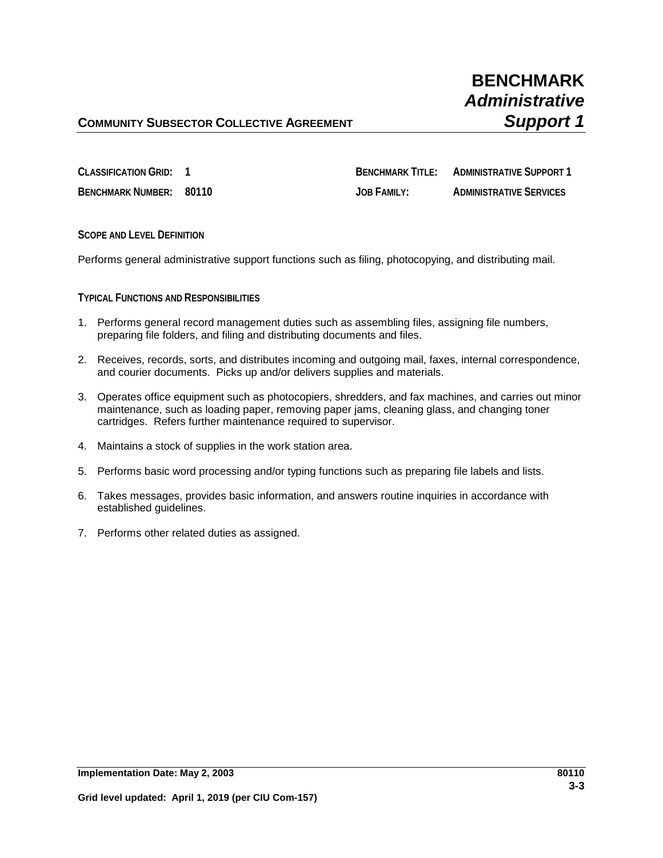# **COMMUNITY SUBSECTOR COLLECTIVE AGREEMENT <b>SUPPORT AGAIN**

**CLASSIFICATION GRID: 1 BENCHMARK TITLE: ADMINISTRATIVE SUPPORT 1 BENCHMARK NUMBER: 80110 JOB FAMILY: ADMINISTRATIVE SERVICES**

**SCOPE AND LEVEL DEFINITION**

Performs general administrative support functions such as filing, photocopying, and distributing mail.

### **TYPICAL FUNCTIONS AND RESPONSIBILITIES**

- 1. Performs general record management duties such as assembling files, assigning file numbers, preparing file folders, and filing and distributing documents and files.
- 2. Receives, records, sorts, and distributes incoming and outgoing mail, faxes, internal correspondence, and courier documents. Picks up and/or delivers supplies and materials.
- 3. Operates office equipment such as photocopiers, shredders, and fax machines, and carries out minor maintenance, such as loading paper, removing paper jams, cleaning glass, and changing toner cartridges. Refers further maintenance required to supervisor.
- 4. Maintains a stock of supplies in the work station area.
- 5. Performs basic word processing and/or typing functions such as preparing file labels and lists.
- 6. Takes messages, provides basic information, and answers routine inquiries in accordance with established guidelines.
- 7. Performs other related duties as assigned.